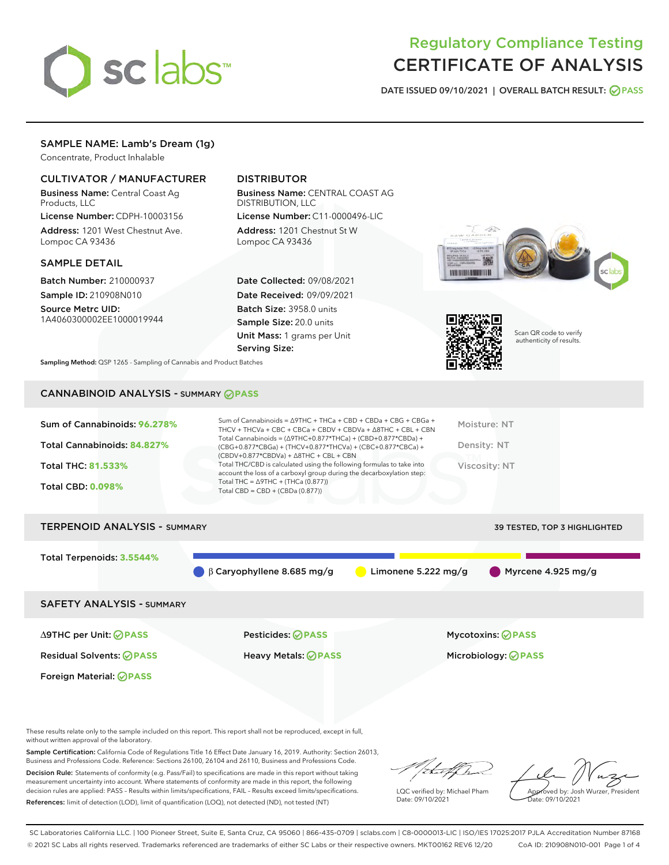

# Regulatory Compliance Testing CERTIFICATE OF ANALYSIS

DATE ISSUED 09/10/2021 | OVERALL BATCH RESULT: @ PASS

# SAMPLE NAME: Lamb's Dream (1g)

Concentrate, Product Inhalable

# CULTIVATOR / MANUFACTURER

Business Name: Central Coast Ag Products, LLC

License Number: CDPH-10003156 Address: 1201 West Chestnut Ave. Lompoc CA 93436

#### SAMPLE DETAIL

Batch Number: 210000937 Sample ID: 210908N010

Source Metrc UID: 1A4060300002EE1000019944

# DISTRIBUTOR

Business Name: CENTRAL COAST AG DISTRIBUTION, LLC License Number: C11-0000496-LIC

Address: 1201 Chestnut St W Lompoc CA 93436

Date Collected: 09/08/2021 Date Received: 09/09/2021 Batch Size: 3958.0 units Sample Size: 20.0 units Unit Mass: 1 grams per Unit Serving Size:





Scan QR code to verify authenticity of results.

Sampling Method: QSP 1265 - Sampling of Cannabis and Product Batches

# CANNABINOID ANALYSIS - SUMMARY **PASS**

| Sum of Cannabinoids: 96.278%<br>Total Cannabinoids: 84.827%<br>Total THC: 81.533%<br><b>Total CBD: 0.098%</b> | Sum of Cannabinoids = $\triangle$ 9THC + THCa + CBD + CBDa + CBG + CBGa +<br>THCV + THCVa + CBC + CBCa + CBDV + CBDVa + $\Delta$ 8THC + CBL + CBN<br>Total Cannabinoids = $(\Delta 9THC + 0.877*THCa) + (CBD+0.877*CBDa) +$<br>(CBG+0.877*CBGa) + (THCV+0.877*THCVa) + (CBC+0.877*CBCa) +<br>$(CBDV+0.877*CBDVa) + \Delta 8THC + CBL + CBN$<br>Total THC/CBD is calculated using the following formulas to take into<br>account the loss of a carboxyl group during the decarboxylation step:<br>Total THC = $\triangle$ 9THC + (THCa (0.877))<br>Total CBD = $CBD + (CBDa (0.877))$ | Moisture: NT<br>Density: NT<br>Viscosity: NT |
|---------------------------------------------------------------------------------------------------------------|--------------------------------------------------------------------------------------------------------------------------------------------------------------------------------------------------------------------------------------------------------------------------------------------------------------------------------------------------------------------------------------------------------------------------------------------------------------------------------------------------------------------------------------------------------------------------------------|----------------------------------------------|
| <b>TERPENOID ANALYSIS - SUMMARY</b>                                                                           |                                                                                                                                                                                                                                                                                                                                                                                                                                                                                                                                                                                      | 39 TESTED, TOP 3 HIGHLIGHTED                 |
| Total Terpenoids: 3.5544%                                                                                     | $\beta$ Caryophyllene 8.685 mg/g<br>Limonene 5.222 mg/g                                                                                                                                                                                                                                                                                                                                                                                                                                                                                                                              | $\blacksquare$ Myrcene 4.925 mg/g            |
|                                                                                                               |                                                                                                                                                                                                                                                                                                                                                                                                                                                                                                                                                                                      |                                              |

SAFETY ANALYSIS - SUMMARY

∆9THC per Unit: **PASS** Pesticides: **PASS** Mycotoxins: **PASS**

Foreign Material: **PASS**

Residual Solvents: **PASS** Heavy Metals: **PASS** Microbiology: **PASS**

These results relate only to the sample included on this report. This report shall not be reproduced, except in full, without written approval of the laboratory.

Sample Certification: California Code of Regulations Title 16 Effect Date January 16, 2019. Authority: Section 26013, Business and Professions Code. Reference: Sections 26100, 26104 and 26110, Business and Professions Code.

Decision Rule: Statements of conformity (e.g. Pass/Fail) to specifications are made in this report without taking measurement uncertainty into account. Where statements of conformity are made in this report, the following decision rules are applied: PASS – Results within limits/specifications, FAIL – Results exceed limits/specifications. References: limit of detection (LOD), limit of quantification (LOQ), not detected (ND), not tested (NT)

that f h

LQC verified by: Michael Pham Date: 09/10/2021

Approved by: Josh Wurzer, President ate: 09/10/2021

SC Laboratories California LLC. | 100 Pioneer Street, Suite E, Santa Cruz, CA 95060 | 866-435-0709 | sclabs.com | C8-0000013-LIC | ISO/IES 17025:2017 PJLA Accreditation Number 87168 © 2021 SC Labs all rights reserved. Trademarks referenced are trademarks of either SC Labs or their respective owners. MKT00162 REV6 12/20 CoA ID: 210908N010-001 Page 1 of 4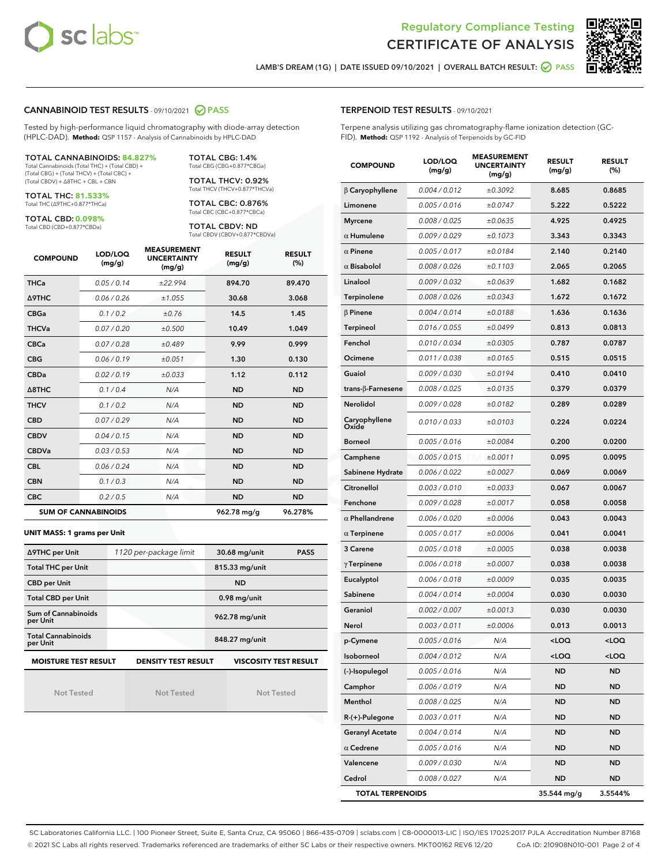



LAMB'S DREAM (1G) | DATE ISSUED 09/10/2021 | OVERALL BATCH RESULT:  $\bigcirc$  PASS

### CANNABINOID TEST RESULTS - 09/10/2021 2 PASS

Tested by high-performance liquid chromatography with diode-array detection (HPLC-DAD). **Method:** QSP 1157 - Analysis of Cannabinoids by HPLC-DAD

#### TOTAL CANNABINOIDS: **84.827%**

Total Cannabinoids (Total THC) + (Total CBD) + (Total CBG) + (Total THCV) + (Total CBC) + (Total CBDV) + ∆8THC + CBL + CBN

TOTAL THC: **81.533%** Total THC (∆9THC+0.877\*THCa)

TOTAL CBD: **0.098%**

Total CBD (CBD+0.877\*CBDa)

TOTAL CBG: 1.4% Total CBG (CBG+0.877\*CBGa)

TOTAL THCV: 0.92% Total THCV (THCV+0.877\*THCVa)

TOTAL CBC: 0.876% Total CBC (CBC+0.877\*CBCa)

TOTAL CBDV: ND Total CBDV (CBDV+0.877\*CBDVa)

| <b>COMPOUND</b> | LOD/LOQ<br>(mg/g)          | <b>MEASUREMENT</b><br><b>UNCERTAINTY</b><br>(mg/g) | <b>RESULT</b><br>(mg/g) | <b>RESULT</b><br>(%) |
|-----------------|----------------------------|----------------------------------------------------|-------------------------|----------------------|
| <b>THCa</b>     | 0.05/0.14                  | ±22.994                                            | 894.70                  | 89.470               |
| <b>A9THC</b>    | 0.06 / 0.26                | ±1.055                                             | 30.68                   | 3.068                |
| <b>CBGa</b>     | 0.1 / 0.2                  | ±0.76                                              | 14.5                    | 1.45                 |
| <b>THCVa</b>    | 0.07 / 0.20                | ±0.500                                             | 10.49                   | 1.049                |
| <b>CBCa</b>     | 0.07/0.28                  | ±0.489                                             | 9.99                    | 0.999                |
| <b>CBG</b>      | 0.06/0.19                  | ±0.051                                             | 1.30                    | 0.130                |
| <b>CBDa</b>     | 0.02/0.19                  | ±0.033                                             | 1.12                    | 0.112                |
| A8THC           | 0.1/0.4                    | N/A                                                | <b>ND</b>               | <b>ND</b>            |
| <b>THCV</b>     | 0.1 / 0.2                  | N/A                                                | <b>ND</b>               | <b>ND</b>            |
| <b>CBD</b>      | 0.07/0.29                  | N/A                                                | <b>ND</b>               | <b>ND</b>            |
| <b>CBDV</b>     | 0.04 / 0.15                | N/A                                                | <b>ND</b>               | <b>ND</b>            |
| <b>CBDVa</b>    | 0.03 / 0.53                | N/A                                                | <b>ND</b>               | <b>ND</b>            |
| <b>CBL</b>      | 0.06 / 0.24                | N/A                                                | <b>ND</b>               | <b>ND</b>            |
| <b>CBN</b>      | 0.1/0.3                    | N/A                                                | <b>ND</b>               | <b>ND</b>            |
| <b>CBC</b>      | 0.2 / 0.5                  | N/A                                                | <b>ND</b>               | <b>ND</b>            |
|                 | <b>SUM OF CANNABINOIDS</b> |                                                    | 962.78 mg/g             | 96.278%              |

#### **UNIT MASS: 1 grams per Unit**

| ∆9THC per Unit                                                                            | 1120 per-package limit | 30.68 mg/unit<br><b>PASS</b> |  |  |  |
|-------------------------------------------------------------------------------------------|------------------------|------------------------------|--|--|--|
| <b>Total THC per Unit</b>                                                                 |                        | 815.33 mg/unit               |  |  |  |
| <b>CBD per Unit</b>                                                                       |                        | <b>ND</b>                    |  |  |  |
| <b>Total CBD per Unit</b>                                                                 |                        | $0.98$ mg/unit               |  |  |  |
| Sum of Cannabinoids<br>per Unit                                                           |                        | 962.78 mg/unit               |  |  |  |
| <b>Total Cannabinoids</b><br>per Unit                                                     |                        | 848.27 mg/unit               |  |  |  |
| <b>MOISTURE TEST RESULT</b><br><b>DENSITY TEST RESULT</b><br><b>VISCOSITY TEST RESULT</b> |                        |                              |  |  |  |

Not Tested

Not Tested

Not Tested

#### TERPENOID TEST RESULTS - 09/10/2021

Terpene analysis utilizing gas chromatography-flame ionization detection (GC-FID). **Method:** QSP 1192 - Analysis of Terpenoids by GC-FID

| <b>COMPOUND</b>         | LOD/LOQ<br>(mg/g) | <b>MEASUREMENT</b><br><b>UNCERTAINTY</b><br>(mg/g) | <b>RESULT</b><br>(mg/g)                         | <b>RESULT</b><br>(%) |
|-------------------------|-------------------|----------------------------------------------------|-------------------------------------------------|----------------------|
| $\beta$ Caryophyllene   | 0.004 / 0.012     | ±0.3092                                            | 8.685                                           | 0.8685               |
| Limonene                | 0.005 / 0.016     | ±0.0747                                            | 5.222                                           | 0.5222               |
| <b>Myrcene</b>          | 0.008 / 0.025     | ±0.0635                                            | 4.925                                           | 0.4925               |
| $\alpha$ Humulene       | 0.009 / 0.029     | ±0.1073                                            | 3.343                                           | 0.3343               |
| $\alpha$ Pinene         | 0.005 / 0.017     | ±0.0184                                            | 2.140                                           | 0.2140               |
| $\alpha$ Bisabolol      | 0.008 / 0.026     | ±0.1103                                            | 2.065                                           | 0.2065               |
| Linalool                | 0.009 / 0.032     | ±0.0639                                            | 1.682                                           | 0.1682               |
| Terpinolene             | 0.008 / 0.026     | ±0.0343                                            | 1.672                                           | 0.1672               |
| $\beta$ Pinene          | 0.004 / 0.014     | ±0.0188                                            | 1.636                                           | 0.1636               |
| <b>Terpineol</b>        | 0.016 / 0.055     | ±0.0499                                            | 0.813                                           | 0.0813               |
| Fenchol                 | 0.010 / 0.034     | ±0.0305                                            | 0.787                                           | 0.0787               |
| Ocimene                 | 0.011 / 0.038     | ±0.0165                                            | 0.515                                           | 0.0515               |
| Guaiol                  | 0.009 / 0.030     | ±0.0194                                            | 0.410                                           | 0.0410               |
| trans-β-Farnesene       | 0.008 / 0.025     | ±0.0135                                            | 0.379                                           | 0.0379               |
| Nerolidol               | 0.009 / 0.028     | ±0.0182                                            | 0.289                                           | 0.0289               |
| Caryophyllene<br>Oxide  | 0.010 / 0.033     | ±0.0103                                            | 0.224                                           | 0.0224               |
| <b>Borneol</b>          | 0.005 / 0.016     | ±0.0084                                            | 0.200                                           | 0.0200               |
| Camphene                | 0.005 / 0.015     | ±0.0011                                            | 0.095                                           | 0.0095               |
| Sabinene Hydrate        | 0.006 / 0.022     | ±0.0027                                            | 0.069                                           | 0.0069               |
| Citronellol             | 0.003 / 0.010     | ±0.0033                                            | 0.067                                           | 0.0067               |
| Fenchone                | 0.009 / 0.028     | ±0.0017                                            | 0.058                                           | 0.0058               |
| $\alpha$ Phellandrene   | 0.006 / 0.020     | ±0.0006                                            | 0.043                                           | 0.0043               |
| $\alpha$ Terpinene      | 0.005 / 0.017     | ±0.0006                                            | 0.041                                           | 0.0041               |
| 3 Carene                | 0.005 / 0.018     | ±0.0005                                            | 0.038                                           | 0.0038               |
| $\gamma$ Terpinene      | 0.006 / 0.018     | ±0.0007                                            | 0.038                                           | 0.0038               |
| Eucalyptol              | 0.006 / 0.018     | ±0.0009                                            | 0.035                                           | 0.0035               |
| Sabinene                | 0.004 / 0.014     | ±0.0004                                            | 0.030                                           | 0.0030               |
| Geraniol                | 0.002 / 0.007     | ±0.0013                                            | 0.030                                           | 0.0030               |
| Nerol                   | 0.003 / 0.011     | ±0.0006                                            | 0.013                                           | 0.0013               |
| p-Cymene                | 0.005 / 0.016     | N/A                                                | $<$ l OO                                        | <loq< th=""></loq<>  |
| Isoborneol              | 0.004 / 0.012     | N/A                                                | <loq< th=""><th><loq< th=""></loq<></th></loq<> | <loq< th=""></loq<>  |
| (-)-Isopulegol          | 0.005 / 0.016     | N/A                                                | <b>ND</b>                                       | <b>ND</b>            |
| Camphor                 | 0.006 / 0.019     | N/A                                                | <b>ND</b>                                       | <b>ND</b>            |
| Menthol                 | 0.008 / 0.025     | N/A                                                | ND                                              | <b>ND</b>            |
| R-(+)-Pulegone          | 0.003 / 0.011     | N/A                                                | ND                                              | ND                   |
| <b>Geranyl Acetate</b>  | 0.004 / 0.014     | N/A                                                | <b>ND</b>                                       | ND                   |
| $\alpha$ Cedrene        | 0.005 / 0.016     | N/A                                                | <b>ND</b>                                       | <b>ND</b>            |
| Valencene               | 0.009 / 0.030     | N/A                                                | ND                                              | ND                   |
| Cedrol                  | 0.008 / 0.027     | N/A                                                | ND                                              | ND                   |
| <b>TOTAL TERPENOIDS</b> |                   | 35.544 mg/g                                        | 3.5544%                                         |                      |

SC Laboratories California LLC. | 100 Pioneer Street, Suite E, Santa Cruz, CA 95060 | 866-435-0709 | sclabs.com | C8-0000013-LIC | ISO/IES 17025:2017 PJLA Accreditation Number 87168 © 2021 SC Labs all rights reserved. Trademarks referenced are trademarks of either SC Labs or their respective owners. MKT00162 REV6 12/20 CoA ID: 210908N010-001 Page 2 of 4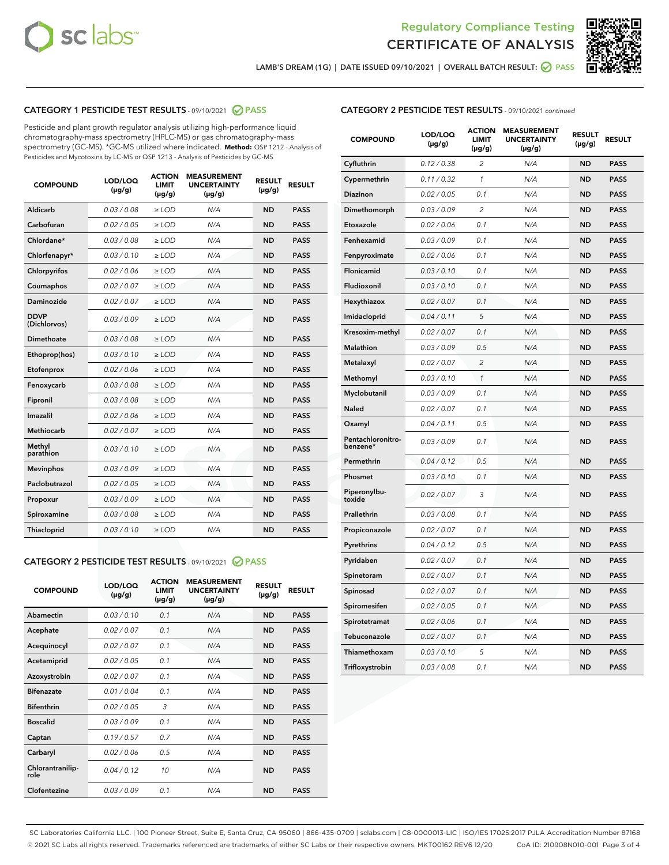



LAMB'S DREAM (1G) | DATE ISSUED 09/10/2021 | OVERALL BATCH RESULT:  $\bigcirc$  PASS

# CATEGORY 1 PESTICIDE TEST RESULTS - 09/10/2021 2 PASS

Pesticide and plant growth regulator analysis utilizing high-performance liquid chromatography-mass spectrometry (HPLC-MS) or gas chromatography-mass spectrometry (GC-MS). \*GC-MS utilized where indicated. **Method:** QSP 1212 - Analysis of Pesticides and Mycotoxins by LC-MS or QSP 1213 - Analysis of Pesticides by GC-MS

| <b>COMPOUND</b>             | LOD/LOQ<br>$(\mu g/g)$ | <b>ACTION</b><br><b>LIMIT</b><br>$(\mu g/g)$ | <b>MEASUREMENT</b><br><b>UNCERTAINTY</b><br>$(\mu g/g)$ | <b>RESULT</b><br>$(\mu g/g)$ | <b>RESULT</b> |
|-----------------------------|------------------------|----------------------------------------------|---------------------------------------------------------|------------------------------|---------------|
| Aldicarb                    | 0.03 / 0.08            | $\ge$ LOD                                    | N/A                                                     | <b>ND</b>                    | <b>PASS</b>   |
| Carbofuran                  | 0.02/0.05              | $>$ LOD                                      | N/A                                                     | <b>ND</b>                    | <b>PASS</b>   |
| Chlordane*                  | 0.03 / 0.08            | $\ge$ LOD                                    | N/A                                                     | <b>ND</b>                    | <b>PASS</b>   |
| Chlorfenapyr*               | 0.03/0.10              | $\geq$ LOD                                   | N/A                                                     | <b>ND</b>                    | <b>PASS</b>   |
| Chlorpyrifos                | 0.02 / 0.06            | $\ge$ LOD                                    | N/A                                                     | <b>ND</b>                    | <b>PASS</b>   |
| Coumaphos                   | 0.02/0.07              | $>$ LOD                                      | N/A                                                     | <b>ND</b>                    | <b>PASS</b>   |
| <b>Daminozide</b>           | 0.02 / 0.07            | $\ge$ LOD                                    | N/A                                                     | <b>ND</b>                    | <b>PASS</b>   |
| <b>DDVP</b><br>(Dichlorvos) | 0.03/0.09              | $\ge$ LOD                                    | N/A                                                     | <b>ND</b>                    | <b>PASS</b>   |
| <b>Dimethoate</b>           | 0.03 / 0.08            | $\ge$ LOD                                    | N/A                                                     | <b>ND</b>                    | <b>PASS</b>   |
| Ethoprop(hos)               | 0.03/0.10              | $\ge$ LOD                                    | N/A                                                     | <b>ND</b>                    | <b>PASS</b>   |
| Etofenprox                  | 0.02 / 0.06            | $\ge$ LOD                                    | N/A                                                     | <b>ND</b>                    | <b>PASS</b>   |
| Fenoxycarb                  | 0.03/0.08              | $\ge$ LOD                                    | N/A                                                     | <b>ND</b>                    | <b>PASS</b>   |
| Fipronil                    | 0.03/0.08              | $>$ LOD                                      | N/A                                                     | <b>ND</b>                    | <b>PASS</b>   |
| Imazalil                    | 0.02 / 0.06            | $\ge$ LOD                                    | N/A                                                     | <b>ND</b>                    | <b>PASS</b>   |
| Methiocarb                  | 0.02 / 0.07            | $\ge$ LOD                                    | N/A                                                     | <b>ND</b>                    | <b>PASS</b>   |
| Methyl<br>parathion         | 0.03/0.10              | $>$ LOD                                      | N/A                                                     | <b>ND</b>                    | <b>PASS</b>   |
| <b>Mevinphos</b>            | 0.03/0.09              | $>$ LOD                                      | N/A                                                     | <b>ND</b>                    | <b>PASS</b>   |
| Paclobutrazol               | 0.02 / 0.05            | $\ge$ LOD                                    | N/A                                                     | <b>ND</b>                    | <b>PASS</b>   |
| Propoxur                    | 0.03/0.09              | $>$ LOD                                      | N/A                                                     | <b>ND</b>                    | <b>PASS</b>   |
| Spiroxamine                 | 0.03 / 0.08            | $\ge$ LOD                                    | N/A                                                     | <b>ND</b>                    | <b>PASS</b>   |
| Thiacloprid                 | 0.03/0.10              | $\ge$ LOD                                    | N/A                                                     | <b>ND</b>                    | <b>PASS</b>   |

#### CATEGORY 2 PESTICIDE TEST RESULTS - 09/10/2021 @ PASS

| <b>COMPOUND</b>          | LOD/LOQ<br>$(\mu g/g)$ | <b>ACTION</b><br><b>LIMIT</b><br>$(\mu g/g)$ | <b>MEASUREMENT</b><br><b>UNCERTAINTY</b><br>$(\mu g/g)$ | <b>RESULT</b><br>$(\mu g/g)$ | <b>RESULT</b> |
|--------------------------|------------------------|----------------------------------------------|---------------------------------------------------------|------------------------------|---------------|
| Abamectin                | 0.03/0.10              | 0.1                                          | N/A                                                     | <b>ND</b>                    | <b>PASS</b>   |
| Acephate                 | 0.02/0.07              | 0.1                                          | N/A                                                     | <b>ND</b>                    | <b>PASS</b>   |
| Acequinocyl              | 0.02/0.07              | 0.1                                          | N/A                                                     | <b>ND</b>                    | <b>PASS</b>   |
| Acetamiprid              | 0.02/0.05              | 0.1                                          | N/A                                                     | <b>ND</b>                    | <b>PASS</b>   |
| Azoxystrobin             | 0.02/0.07              | 0.1                                          | N/A                                                     | <b>ND</b>                    | <b>PASS</b>   |
| <b>Bifenazate</b>        | 0.01/0.04              | 0.1                                          | N/A                                                     | <b>ND</b>                    | <b>PASS</b>   |
| <b>Bifenthrin</b>        | 0.02 / 0.05            | 3                                            | N/A                                                     | <b>ND</b>                    | <b>PASS</b>   |
| <b>Boscalid</b>          | 0.03/0.09              | 0.1                                          | N/A                                                     | <b>ND</b>                    | <b>PASS</b>   |
| Captan                   | 0.19/0.57              | 0.7                                          | N/A                                                     | <b>ND</b>                    | <b>PASS</b>   |
| Carbaryl                 | 0.02/0.06              | 0.5                                          | N/A                                                     | <b>ND</b>                    | <b>PASS</b>   |
| Chlorantranilip-<br>role | 0.04/0.12              | 10                                           | N/A                                                     | <b>ND</b>                    | <b>PASS</b>   |
| Clofentezine             | 0.03/0.09              | 0.1                                          | N/A                                                     | <b>ND</b>                    | <b>PASS</b>   |

| <b>CATEGORY 2 PESTICIDE TEST RESULTS</b> - 09/10/2021 continued |  |
|-----------------------------------------------------------------|--|
|                                                                 |  |

| <b>COMPOUND</b>               | LOD/LOQ<br>(µg/g) | <b>ACTION</b><br>LIMIT<br>$(\mu g/g)$ | <b>MEASUREMENT</b><br><b>UNCERTAINTY</b><br>$(\mu g/g)$ | <b>RESULT</b><br>(µg/g) | <b>RESULT</b> |
|-------------------------------|-------------------|---------------------------------------|---------------------------------------------------------|-------------------------|---------------|
| Cyfluthrin                    | 0.12 / 0.38       | 2                                     | N/A                                                     | <b>ND</b>               | <b>PASS</b>   |
| Cypermethrin                  | 0.11 / 0.32       | $\mathcal{I}$                         | N/A                                                     | <b>ND</b>               | <b>PASS</b>   |
| Diazinon                      | 0.02 / 0.05       | 0.1                                   | N/A                                                     | <b>ND</b>               | <b>PASS</b>   |
| Dimethomorph                  | 0.03 / 0.09       | 2                                     | N/A                                                     | <b>ND</b>               | <b>PASS</b>   |
| Etoxazole                     | 0.02 / 0.06       | 0.1                                   | N/A                                                     | <b>ND</b>               | <b>PASS</b>   |
| Fenhexamid                    | 0.03 / 0.09       | 0.1                                   | N/A                                                     | <b>ND</b>               | <b>PASS</b>   |
| Fenpyroximate                 | 0.02 / 0.06       | 0.1                                   | N/A                                                     | <b>ND</b>               | <b>PASS</b>   |
| Flonicamid                    | 0.03 / 0.10       | 0.1                                   | N/A                                                     | <b>ND</b>               | <b>PASS</b>   |
| Fludioxonil                   | 0.03 / 0.10       | 0.1                                   | N/A                                                     | <b>ND</b>               | <b>PASS</b>   |
| Hexythiazox                   | 0.02 / 0.07       | 0.1                                   | N/A                                                     | <b>ND</b>               | <b>PASS</b>   |
| Imidacloprid                  | 0.04 / 0.11       | 5                                     | N/A                                                     | <b>ND</b>               | <b>PASS</b>   |
| Kresoxim-methyl               | 0.02 / 0.07       | 0.1                                   | N/A                                                     | <b>ND</b>               | <b>PASS</b>   |
| Malathion                     | 0.03 / 0.09       | 0.5                                   | N/A                                                     | <b>ND</b>               | <b>PASS</b>   |
| Metalaxyl                     | 0.02 / 0.07       | $\overline{c}$                        | N/A                                                     | <b>ND</b>               | <b>PASS</b>   |
| Methomyl                      | 0.03 / 0.10       | $\mathcal{I}$                         | N/A                                                     | <b>ND</b>               | <b>PASS</b>   |
| Myclobutanil                  | 0.03 / 0.09       | 0.1                                   | N/A                                                     | <b>ND</b>               | <b>PASS</b>   |
| Naled                         | 0.02 / 0.07       | 0.1                                   | N/A                                                     | <b>ND</b>               | <b>PASS</b>   |
| Oxamyl                        | 0.04 / 0.11       | 0.5                                   | N/A                                                     | <b>ND</b>               | <b>PASS</b>   |
| Pentachloronitro-<br>benzene* | 0.03/0.09         | 0.1                                   | N/A                                                     | <b>ND</b>               | <b>PASS</b>   |
| Permethrin                    | 0.04 / 0.12       | 0.5                                   | N/A                                                     | <b>ND</b>               | <b>PASS</b>   |
| Phosmet                       | 0.03 / 0.10       | 0.1                                   | N/A                                                     | <b>ND</b>               | <b>PASS</b>   |
| Piperonylbu-<br>toxide        | 0.02 / 0.07       | 3                                     | N/A                                                     | <b>ND</b>               | <b>PASS</b>   |
| Prallethrin                   | 0.03 / 0.08       | 0.1                                   | N/A                                                     | <b>ND</b>               | <b>PASS</b>   |
| Propiconazole                 | 0.02 / 0.07       | 0.1                                   | N/A                                                     | <b>ND</b>               | <b>PASS</b>   |
| Pyrethrins                    | 0.04 / 0.12       | 0.5                                   | N/A                                                     | <b>ND</b>               | <b>PASS</b>   |
| Pyridaben                     | 0.02 / 0.07       | 0.1                                   | N/A                                                     | <b>ND</b>               | <b>PASS</b>   |
| Spinetoram                    | 0.02 / 0.07       | 0.1                                   | N/A                                                     | <b>ND</b>               | <b>PASS</b>   |
| Spinosad                      | 0.02 / 0.07       | 0.1                                   | N/A                                                     | <b>ND</b>               | <b>PASS</b>   |
| Spiromesifen                  | 0.02 / 0.05       | 0.1                                   | N/A                                                     | <b>ND</b>               | <b>PASS</b>   |
| Spirotetramat                 | 0.02 / 0.06       | 0.1                                   | N/A                                                     | <b>ND</b>               | <b>PASS</b>   |
| Tebuconazole                  | 0.02 / 0.07       | 0.1                                   | N/A                                                     | <b>ND</b>               | <b>PASS</b>   |
| Thiamethoxam                  | 0.03 / 0.10       | 5                                     | N/A                                                     | <b>ND</b>               | <b>PASS</b>   |
| Trifloxystrobin               | 0.03 / 0.08       | 0.1                                   | N/A                                                     | <b>ND</b>               | <b>PASS</b>   |

SC Laboratories California LLC. | 100 Pioneer Street, Suite E, Santa Cruz, CA 95060 | 866-435-0709 | sclabs.com | C8-0000013-LIC | ISO/IES 17025:2017 PJLA Accreditation Number 87168 © 2021 SC Labs all rights reserved. Trademarks referenced are trademarks of either SC Labs or their respective owners. MKT00162 REV6 12/20 CoA ID: 210908N010-001 Page 3 of 4